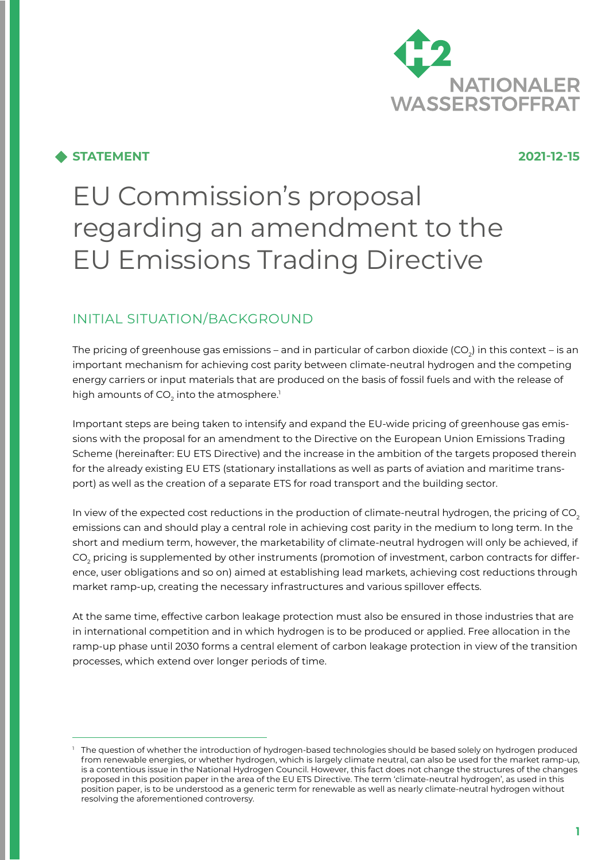

### **STATEMENT 2021-12-15**

# EU Commission's proposal regarding an amendment to the EU Emissions Trading Directive

# INITIAL SITUATION/BACKGROUND

The pricing of greenhouse gas emissions – and in particular of carbon dioxide (CO<sub>2</sub>) in this context – is an important mechanism for achieving cost parity between climate-neutral hydrogen and the competing energy carriers or input materials that are produced on the basis of fossil fuels and with the release of high amounts of CO $_{\textrm{\tiny{2}}}$  into the atmosphere. $^{\textrm{\tiny{1}}}$ 

Important steps are being taken to intensify and expand the EU-wide pricing of greenhouse gas emissions with the proposal for an amendment to the Directive on the European Union Emissions Trading Scheme (hereinafter: EU ETS Directive) and the increase in the ambition of the targets proposed therein for the already existing EU ETS (stationary installations as well as parts of aviation and maritime transport) as well as the creation of a separate ETS for road transport and the building sector.

In view of the expected cost reductions in the production of climate-neutral hydrogen, the pricing of  $CO<sub>2</sub>$ emissions can and should play a central role in achieving cost parity in the medium to long term. In the short and medium term, however, the marketability of climate-neutral hydrogen will only be achieved, if CO $_{\rm 2}$  pricing is supplemented by other instruments (promotion of investment, carbon contracts for difference, user obligations and so on) aimed at establishing lead markets, achieving cost reductions through market ramp-up, creating the necessary infrastructures and various spillover effects.

At the same time, effective carbon leakage protection must also be ensured in those industries that are in international competition and in which hydrogen is to be produced or applied. Free allocation in the ramp-up phase until 2030 forms a central element of carbon leakage protection in view of the transition processes, which extend over longer periods of time.

<sup>&</sup>lt;sup>1</sup> The question of whether the introduction of hydrogen-based technologies should be based solely on hydrogen produced from renewable energies, or whether hydrogen, which is largely climate neutral, can also be used for the market ramp-up, is a contentious issue in the National Hydrogen Council. However, this fact does not change the structures of the changes proposed in this position paper in the area of the EU ETS Directive. The term 'climate-neutral hydrogen', as used in this position paper, is to be understood as a generic term for renewable as well as nearly climate-neutral hydrogen without resolving the aforementioned controversy.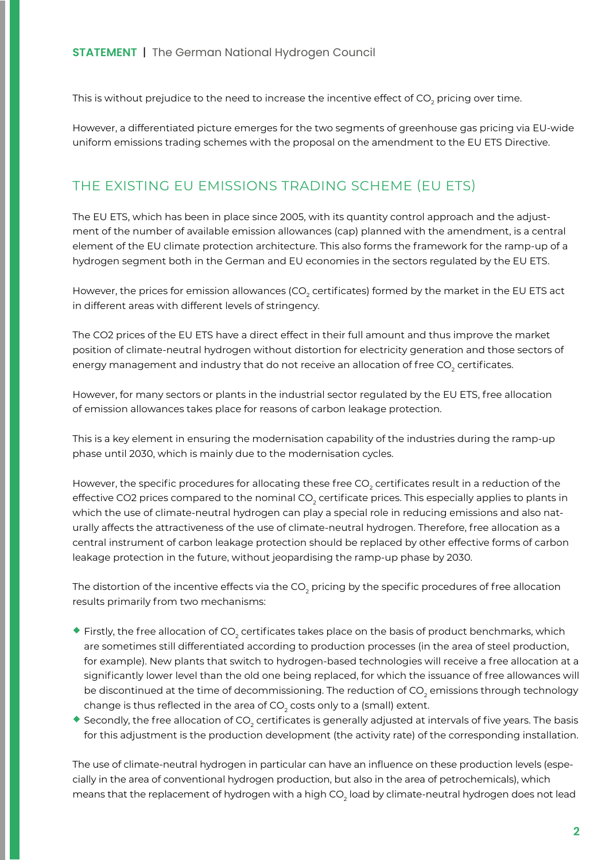This is without prejudice to the need to increase the incentive effect of CO<sub>2</sub> pricing over time.

However, a differentiated picture emerges for the two segments of greenhouse gas pricing via EU-wide uniform emissions trading schemes with the proposal on the amendment to the EU ETS Directive.

### THE EXISTING EU EMISSIONS TRADING SCHEME (EU ETS)

The EU ETS, which has been in place since 2005, with its quantity control approach and the adjustment of the number of available emission allowances (cap) planned with the amendment, is a central element of the EU climate protection architecture. This also forms the framework for the ramp-up of a hydrogen segment both in the German and EU economies in the sectors regulated by the EU ETS.

However, the prices for emission allowances (CO $_{_2}$  certificates) formed by the market in the EU ETS act in different areas with different levels of stringency.

The CO2 prices of the EU ETS have a direct effect in their full amount and thus improve the market position of climate-neutral hydrogen without distortion for electricity generation and those sectors of energy management and industry that do not receive an allocation of free CO $_{\tiny 2}$  certificates.

However, for many sectors or plants in the industrial sector regulated by the EU ETS, free allocation of emission allowances takes place for reasons of carbon leakage protection.

This is a key element in ensuring the modernisation capability of the industries during the ramp-up phase until 2030, which is mainly due to the modernisation cycles.

However, the specific procedures for allocating these free CO $_{_2}$  certificates result in a reduction of the effective CO2 prices compared to the nominal CO $_{\rm 2}$  certificate prices. This especially applies to plants in which the use of climate-neutral hydrogen can play a special role in reducing emissions and also naturally affects the attractiveness of the use of climate-neutral hydrogen. Therefore, free allocation as a central instrument of carbon leakage protection should be replaced by other effective forms of carbon leakage protection in the future, without jeopardising the ramp-up phase by 2030.

The distortion of the incentive effects via the CO $_{_2}$  pricing by the specific procedures of free allocation results primarily from two mechanisms:

- $\blacklozenge$  Firstly, the free allocation of CO<sub>2</sub> certificates takes place on the basis of product benchmarks, which are sometimes still differentiated according to production processes (in the area of steel production, for example). New plants that switch to hydrogen-based technologies will receive a free allocation at a significantly lower level than the old one being replaced, for which the issuance of free allowances will be discontinued at the time of decommissioning. The reduction of CO $_{\textrm{\tiny{2}}}$  emissions through technology change is thus reflected in the area of CO $_{\textrm{\tiny{2}}}$  costs only to a (small) extent.
- $\bullet$  Secondly, the free allocation of CO<sub>2</sub> certificates is generally adjusted at intervals of five years. The basis for this adjustment is the production development (the activity rate) of the corresponding installation.

The use of climate-neutral hydrogen in particular can have an influence on these production levels (especially in the area of conventional hydrogen production, but also in the area of petrochemicals), which means that the replacement of hydrogen with a high CO $_{\rm 2}$  load by climate-neutral hydrogen does not lead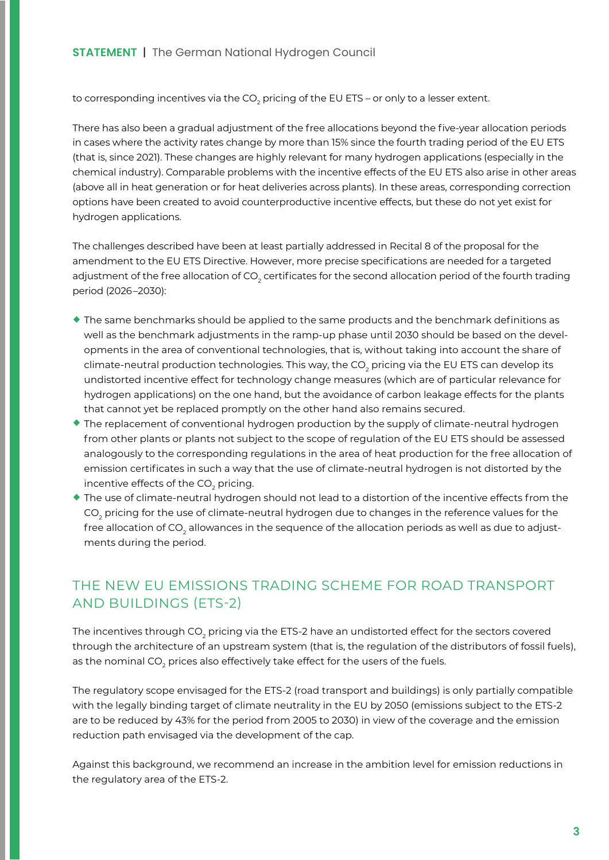to corresponding incentives via the CO $_{\rm 2}$  pricing of the EU ETS – or only to a lesser extent.

There has also been a gradual adjustment of the free allocations beyond the five-year allocation periods in cases where the activity rates change by more than 15% since the fourth trading period of the EU ETS (that is, since 2021). These changes are highly relevant for many hydrogen applications (especially in the chemical industry). Comparable problems with the incentive effects of the EU ETS also arise in other areas (above all in heat generation or for heat deliveries across plants). In these areas, corresponding correction options have been created to avoid counterproductive incentive effects, but these do not yet exist for hydrogen applications.

The challenges described have been at least partially addressed in Recital 8 of the proposal for the amendment to the EU ETS Directive. However, more precise specifications are needed for a targeted adjustment of the free allocation of CO<sub>2</sub> certificates for the second allocation period of the fourth trading period (2026 –2030):

- ¡ The same benchmarks should be applied to the same products and the benchmark definitions as well as the benchmark adjustments in the ramp-up phase until 2030 should be based on the developments in the area of conventional technologies, that is, without taking into account the share of climate-neutral production technologies. This way, the CO $_{\rm 2}$  pricing via the EU ETS can develop its undistorted incentive effect for technology change measures (which are of particular relevance for hydrogen applications) on the one hand, but the avoidance of carbon leakage effects for the plants that cannot yet be replaced promptly on the other hand also remains secured.
- The replacement of conventional hydrogen production by the supply of climate-neutral hydrogen from other plants or plants not subject to the scope of regulation of the EU ETS should be assessed analogously to the corresponding regulations in the area of heat production for the free allocation of emission certificates in such a way that the use of climate-neutral hydrogen is not distorted by the incentive effects of the CO $_{_{2}}$  pricing.
- ¡ The use of climate-neutral hydrogen should not lead to a distortion of the incentive effects from the CO $_{\textrm{\tiny{2}}}$  pricing for the use of climate-neutral hydrogen due to changes in the reference values for the free allocation of CO<sub>2</sub> allowances in the sequence of the allocation periods as well as due to adjustments during the period.

## THE NEW EU EMISSIONS TRADING SCHEME FOR ROAD TRANSPORT AND BUILDINGS (ETS-2)

The incentives through CO $_{\rm 2}$  pricing via the ETS-2 have an undistorted effect for the sectors covered through the architecture of an upstream system (that is, the regulation of the distributors of fossil fuels), as the nominal CO $_{\textrm{\tiny{2}}}$  prices also effectively take effect for the users of the fuels.

The regulatory scope envisaged for the ETS-2 (road transport and buildings) is only partially compatible with the legally binding target of climate neutrality in the EU by 2050 (emissions subject to the ETS-2 are to be reduced by 43% for the period from 2005 to 2030) in view of the coverage and the emission reduction path envisaged via the development of the cap.

Against this background, we recommend an increase in the ambition level for emission reductions in the regulatory area of the ETS-2.